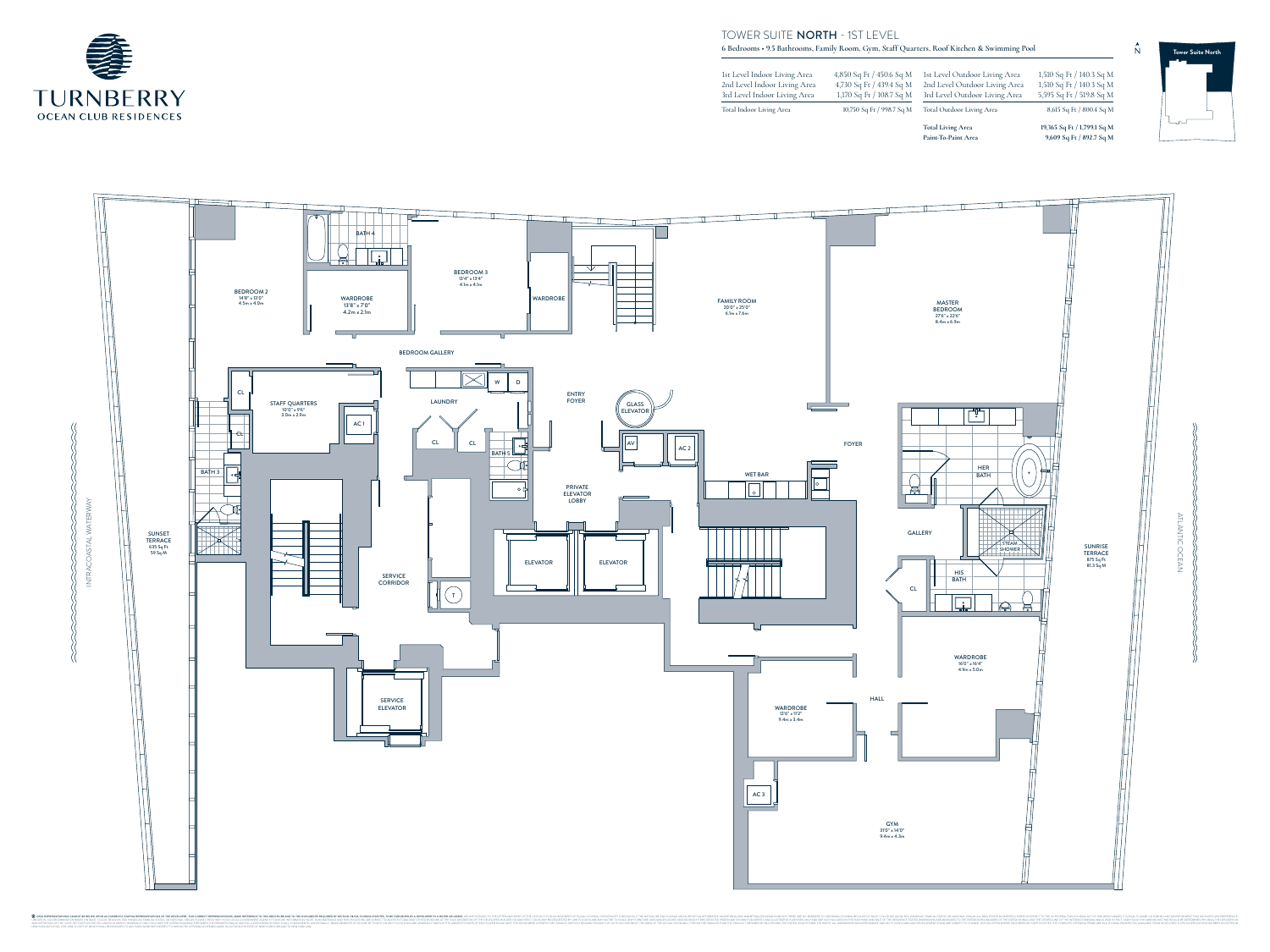**Total Living Area 19,365 Sq Ft / 1,799.1 Sq M Paint-To-Paint Area 9,609 Sq Ft / 892.7 Sq M** 4,850 Sq Ft / 450.6 Sq M 1st Level Outdoor Living Area 1,510 Sq Ft / 140.3 Sq M 4,730 Sq Ft / 439.4 Sq M 2nd Level Outdoor Living Area 1,510 Sq Ft / 140.3 Sq M 1,170 Sq Ft / 108.7 Sq M 3rd Level Outdoor Living Area 5,595 Sq Ft / 519.8 Sq M 10,750 Sq Ft / 998.7 Sq M Total Outdoor Living Area 8,615 Sq Ft / 800.4 Sq M

1st Level Indoor Living Area 2nd Level Indoor Living Area 3rd Level Indoor Living Area

Total Indoor Living Area

## TOWER SUITE NORTH - 1ST LEVEL







ATLANTIC OCEAN

 $\bigcirc$ 

**CEA** 

NTIC

**6 Bedrooms • 9.5 Bathrooms, Family Room, Gym, Staff Quarters, Roof Kitchen & Swimming Pool**



ᅮᅩ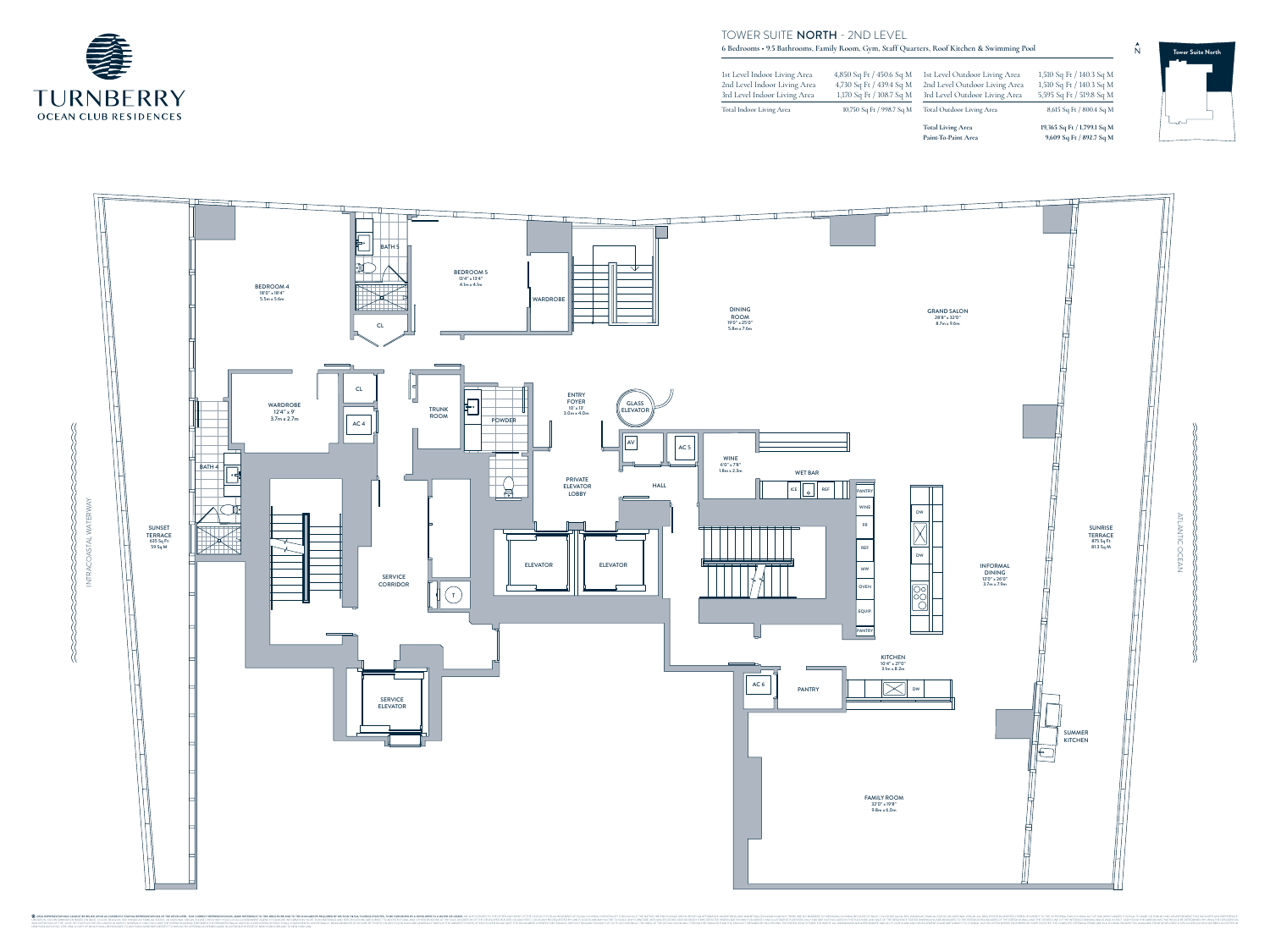ATLANTIC OCEAN  $\overline{\phantom{a}}$ NTIC  $\bigcirc$ CEA



 $\blacktriangle$ 

## TOWER SUITE NORTH - 2ND LEVEL





**6 Bedrooms • 9.5 Bathrooms, Family Room, Gym, Staff Quarters, Roof Kitchen & Swimming Pool**